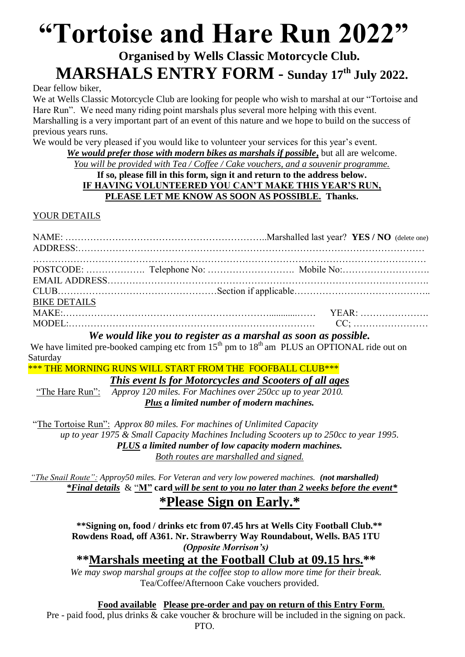# **"Tortoise and Hare Run 2022"**

## **Organised by Wells Classic Motorcycle Club***.*  **MARSHALS ENTRY FORM - Sunday 17 th July 2022.**

Dear fellow biker,

We at Wells Classic Motorcycle Club are looking for people who wish to marshal at our "Tortoise and Hare Run". We need many riding point marshals plus several more helping with this event. Marshalling is a very important part of an event of this nature and we hope to build on the success of previous years runs.

We would be very pleased if you would like to volunteer your services for this year's event.

*We would prefer those with modern bikes as marshals if possible***,** but all are welcome.

*You will be provided with Tea / Coffee / Cake vouchers, and a souvenir programme.*

#### **If so, please fill in this form, sign it and return to the address below. IF HAVING VOLUNTEERED YOU CAN'T MAKE THIS YEAR'S RUN, PLEASE LET ME KNOW AS SOON AS POSSIBLE. Thanks.**

YOUR DETAILS

| <b>BIKE DETAILS</b> |  |  |
|---------------------|--|--|
|                     |  |  |
|                     |  |  |

*We would like you to register as a marshal as soon as possible.*

We have limited pre-booked camping etc from  $15<sup>th</sup>$  pm to  $18<sup>th</sup>$  am PLUS an OPTIONAL ride out on Saturday

\*\*\* THE MORNING RUNS WILL START FROM THE FOOFBALL CLUB\*\*\*

*This event ls for Motorcycles and Scooters of all ages*

"The Hare Run": *Approy 120 miles. For Machines over 250cc up to year 2010. Plus a limited number of modern machines.*

 "The Tortoise Run": *Approx 80 miles. For machines of Unlimited Capacity up to year 1975 & Small Capacity Machines Including Scooters up to 250cc to year 1995. PLUS a limited number of low capacity modern machines. Both routes are marshalled and signed.*

*"The Snail Route": Approy50 miles. For Veteran and very low powered machines. (not marshalled) \*Final details* & "**M" card** *will be sent to you no later than 2 weeks before the event\**

## **\*Please Sign on Early.\***

**\*\*Signing on, food / drinks etc from 07.45 hrs at Wells City Football Club.\*\* Rowdens Road, off A361. Nr. Strawberry Way Roundabout, Wells. BA5 1TU** *(Opposite Morrison's)*

**\*\*Marshals meeting at the Football Club at 09.15 hrs.\*\***

*We may swop marshal groups at the coffee stop to allow more time for their break.* Tea/Coffee/Afternoon Cake vouchers provided.

**Food available Please pre-order and pay on return of this Entry Form**.

Pre - paid food, plus drinks & cake voucher & brochure will be included in the signing on pack. PTO.